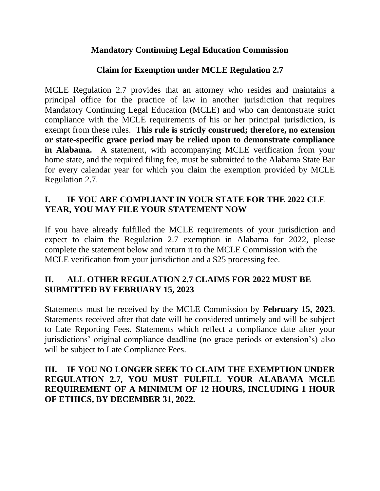#### **Mandatory Continuing Legal Education Commission**

#### **Claim for Exemption under MCLE Regulation 2.7**

MCLE Regulation 2.7 provides that an attorney who resides and maintains a principal office for the practice of law in another jurisdiction that requires Mandatory Continuing Legal Education (MCLE) and who can demonstrate strict compliance with the MCLE requirements of his or her principal jurisdiction, is exempt from these rules. **This rule is strictly construed; therefore, no extension or state-specific grace period may be relied upon to demonstrate compliance in Alabama.** A statement, with accompanying MCLE verification from your home state, and the required filing fee, must be submitted to the Alabama State Bar for every calendar year for which you claim the exemption provided by MCLE Regulation 2.7.

# **I. IF YOU ARE COMPLIANT IN YOUR STATE FOR THE 2022 CLE YEAR, YOU MAY FILE YOUR STATEMENT NOW**

If you have already fulfilled the MCLE requirements of your jurisdiction and expect to claim the Regulation 2.7 exemption in Alabama for 2022, please complete the statement below and return it to the MCLE Commission with the MCLE verification from your jurisdiction and a \$25 processing fee.

# **II. ALL OTHER REGULATION 2.7 CLAIMS FOR 2022 MUST BE SUBMITTED BY FEBRUARY 15, 2023**

Statements must be received by the MCLE Commission by **February 15, 2023**. Statements received after that date will be considered untimely and will be subject to Late Reporting Fees. Statements which reflect a compliance date after your jurisdictions' original compliance deadline (no grace periods or extension's) also will be subject to Late Compliance Fees.

#### **III. IF YOU NO LONGER SEEK TO CLAIM THE EXEMPTION UNDER REGULATION 2.7, YOU MUST FULFILL YOUR ALABAMA MCLE REQUIREMENT OF A MINIMUM OF 12 HOURS, INCLUDING 1 HOUR OF ETHICS, BY DECEMBER 31, 2022.**